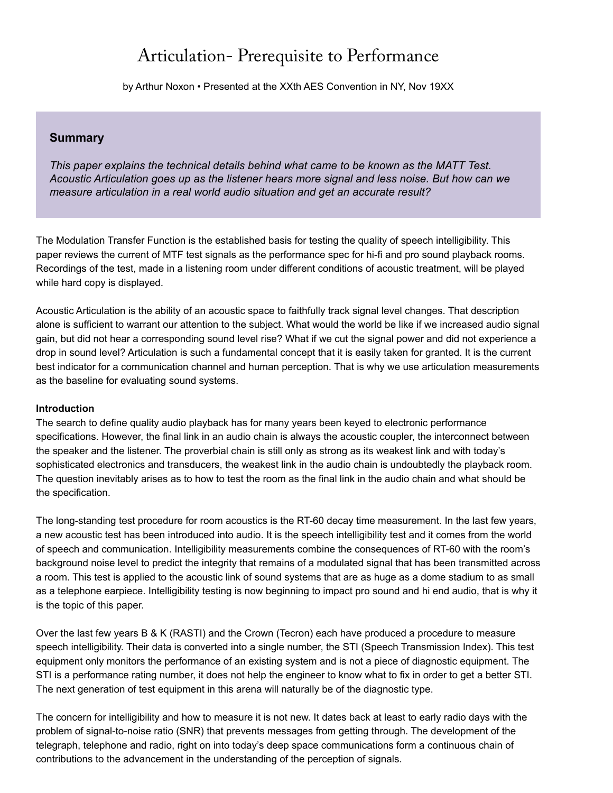# Articulation- Prerequisite to Performance

by Arthur Noxon • Presented at the XXth AES Convention in NY, Nov 19XX

# **Summary**

*This paper explains the technical details behind what came to be known as the MATT Test. Acoustic Articulation goes up as the listener hears more signal and less noise. But how can we measure articulation in a real world audio situation and get an accurate result?*

The Modulation Transfer Function is the established basis for testing the quality of speech intelligibility. This paper reviews the current of MTF test signals as the performance spec for hi-fi and pro sound playback rooms. Recordings of the test, made in a listening room under different conditions of acoustic treatment, will be played while hard copy is displayed.

Acoustic Articulation is the ability of an acoustic space to faithfully track signal level changes. That description alone is sufficient to warrant our attention to the subject. What would the world be like if we increased audio signal gain, but did not hear a corresponding sound level rise? What if we cut the signal power and did not experience a drop in sound level? Articulation is such a fundamental concept that it is easily taken for granted. It is the current best indicator for a communication channel and human perception. That is why we use articulation measurements as the baseline for evaluating sound systems.

### **Introduction**

The search to define quality audio playback has for many years been keyed to electronic performance specifications. However, the final link in an audio chain is always the acoustic coupler, the interconnect between the speaker and the listener. The proverbial chain is still only as strong as its weakest link and with today's sophisticated electronics and transducers, the weakest link in the audio chain is undoubtedly the playback room. The question inevitably arises as to how to test the room as the final link in the audio chain and what should be the specification.

The long-standing test procedure for room acoustics is the RT-60 decay time measurement. In the last few years, a new acoustic test has been introduced into audio. It is the speech intelligibility test and it comes from the world of speech and communication. Intelligibility measurements combine the consequences of RT-60 with the room's background noise level to predict the integrity that remains of a modulated signal that has been transmitted across a room. This test is applied to the acoustic link of sound systems that are as huge as a dome stadium to as small as a telephone earpiece. Intelligibility testing is now beginning to impact pro sound and hi end audio, that is why it is the topic of this paper.

Over the last few years B & K (RASTI) and the Crown (Tecron) each have produced a procedure to measure speech intelligibility. Their data is converted into a single number, the STI (Speech Transmission Index). This test equipment only monitors the performance of an existing system and is not a piece of diagnostic equipment. The STI is a performance rating number, it does not help the engineer to know what to fix in order to get a better STI. The next generation of test equipment in this arena will naturally be of the diagnostic type.

The concern for intelligibility and how to measure it is not new. It dates back at least to early radio days with the problem of signal-to-noise ratio (SNR) that prevents messages from getting through. The development of the telegraph, telephone and radio, right on into today's deep space communications form a continuous chain of contributions to the advancement in the understanding of the perception of signals.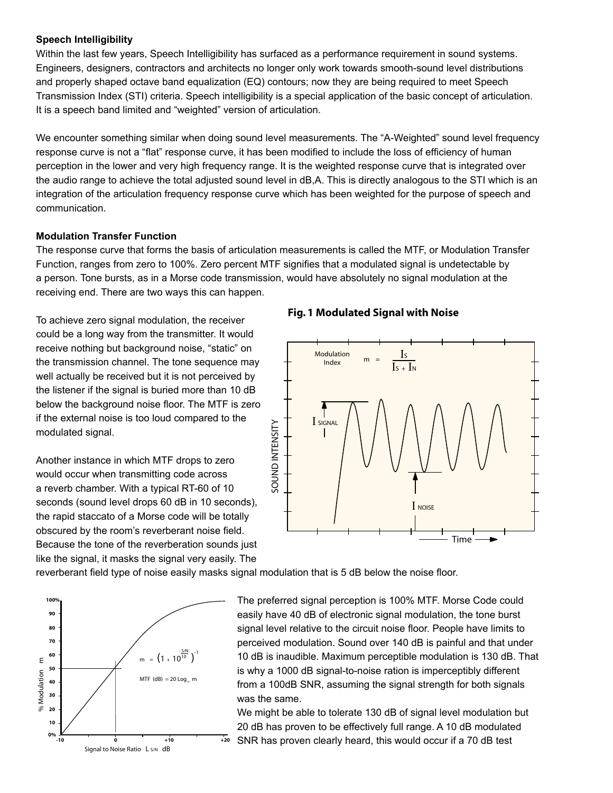## **Speech Intelligibility**

Within the last few years, Speech Intelligibility has surfaced as a performance requirement in sound systems. Engineers, designers, contractors and architects no longer only work towards smooth-sound level distributions and properly shaped octave band equalization (EQ) contours; now they are being required to meet Speech Transmission Index (STI) criteria. Speech intelligibility is a special application of the basic concept of articulation. It is a speech band limited and "weighted" version of articulation.

We encounter something similar when doing sound level measurements. The "A-Weighted" sound level frequency response curve is not a "flat" response curve, it has been modified to include the loss of efficiency of human perception in the lower and very high frequency range. It is the weighted response curve that is integrated over the audio range to achieve the total adjusted sound level in dB,A. This is directly analogous to the STI which is an integration of the articulation frequency response curve which has been weighted for the purpose of speech and communication.

# **Modulation Transfer Function**

The response curve that forms the basis of articulation measurements is called the MTF, or Modulation Transfer Function, ranges from zero to 100%. Zero percent MTF signifies that a modulated signal is undetectable by a person. Tone bursts, as in a Morse code transmission, would have absolutely no signal modulation at the receiving end. There are two ways this can happen.

To achieve zero signal modulation, the receiver could be a long way from the transmitter. It would receive nothing but background noise, "static" on the transmission channel. The tone sequence may well actually be received but it is not perceived by the listener if the signal is buried more than 10 dB below the background noise floor. The MTF is zero if the external noise is too loud compared to the modulated signal.

Another instance in which MTF drops to zero would occur when transmitting code across a reverb chamber. With a typical RT-60 of 10 seconds (sound level drops 60 dB in 10 seconds), the rapid staccato of a Morse code will be totally obscured by the room's reverberant noise field. Because the tone of the reverberation sounds just like the signal, it masks the signal very easily. The





reverberant field type of noise easily masks signal modulation that is 5 dB below the noise floor.



The preferred signal perception is 100% MTF. Morse Code could easily have 40 dB of electronic signal modulation, the tone burst signal level relative to the circuit noise floor. People have limits to perceived modulation. Sound over 140 dB is painful and that under 10 dB is inaudible. Maximum perceptible modulation is 130 dB. That is why a 1000 dB signal-to-noise ration is imperceptibly different from a 100dB SNR, assuming the signal strength for both signals was the same.

We might be able to tolerate 130 dB of signal level modulation but 20 dB has proven to be effectively full range. A 10 dB modulated SNR has proven clearly heard, this would occur if a 70 dB test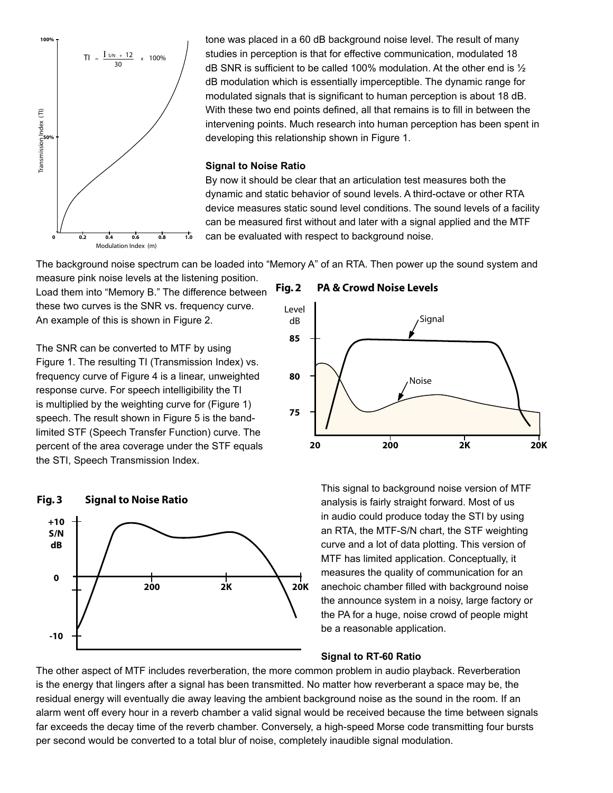

tone was placed in a 60 dB background noise level. The result of many studies in perception is that for effective communication, modulated 18 dB SNR is sufficient to be called 100% modulation. At the other end is  $\frac{1}{2}$ dB modulation which is essentially imperceptible. The dynamic range for modulated signals that is significant to human perception is about 18 dB. With these two end points defined, all that remains is to fill in between the intervening points. Much research into human perception has been spent in developing this relationship shown in Figure 1.

#### **Signal to Noise Ratio**

By now it should be clear that an articulation test measures both the dynamic and static behavior of sound levels. A third-octave or other RTA device measures static sound level conditions. The sound levels of a facility can be measured first without and later with a signal applied and the MTF can be evaluated with respect to background noise.

The background noise spectrum can be loaded into "Memory A" of an RTA. Then power up the sound system and

measure pink noise levels at the listening position. Load them into "Memory B." The difference between these two curves is the SNR vs. frequency curve. An example of this is shown in Figure 2.

The SNR can be converted to MTF by using Figure 1. The resulting TI (Transmission Index) vs. frequency curve of Figure 4 is a linear, unweighted response curve. For speech intelligibility the TI is multiplied by the weighting curve for (Figure 1) speech. The result shown in Figure 5 is the bandlimited STF (Speech Transfer Function) curve. The percent of the area coverage under the STF equals the STI, Speech Transmission Index.







This signal to background noise version of MTF analysis is fairly straight forward. Most of us in audio could produce today the STI by using an RTA, the MTF-S/N chart, the STF weighting curve and a lot of data plotting. This version of MTF has limited application. Conceptually, it measures the quality of communication for an anechoic chamber filled with background noise the announce system in a noisy, large factory or the PA for a huge, noise crowd of people might be a reasonable application.

## **Signal to RT-60 Ratio**

The other aspect of MTF includes reverberation, the more common problem in audio playback. Reverberation is the energy that lingers after a signal has been transmitted. No matter how reverberant a space may be, the residual energy will eventually die away leaving the ambient background noise as the sound in the room. If an alarm went off every hour in a reverb chamber a valid signal would be received because the time between signals far exceeds the decay time of the reverb chamber. Conversely, a high-speed Morse code transmitting four bursts per second would be converted to a total blur of noise, completely inaudible signal modulation.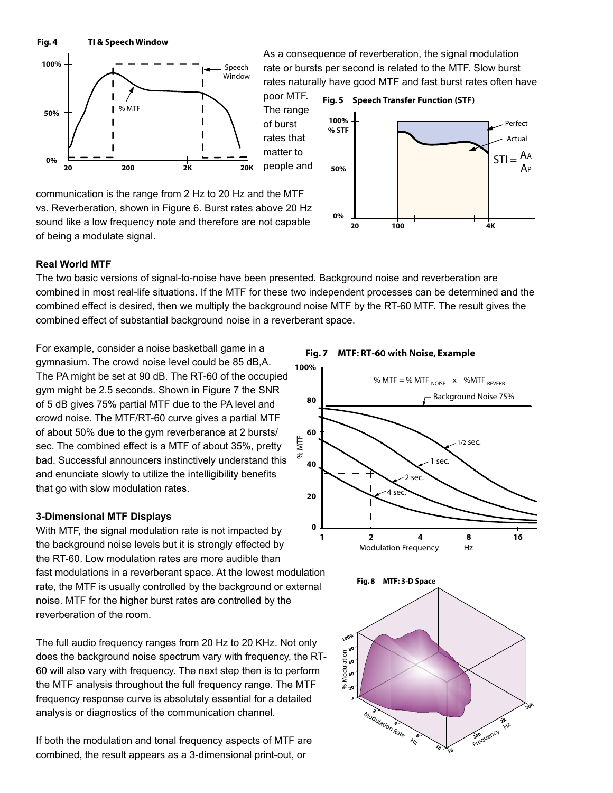**Fig. 4 TI & Speech Window**



As a consequence of reverberation, the signal modulation rate or bursts per second is related to the MTF. Slow burst rates naturally have good MTF and fast burst rates often have



The range of burst rates that matter to people and



communication is the range from 2 Hz to 20 Hz and the MTF vs. Reverberation, shown in Figure 6. Burst rates above 20 Hz sound like a low frequency note and therefore are not capable of being a modulate signal.

# **Real World MTF**

The two basic versions of signal-to-noise have been presented. Background noise and reverberation are combined in most real-life situations. If the MTF for these two independent processes can be determined and the combined effect is desired, then we multiply the background noise MTF by the RT-60 MTF. The result gives the combined effect of substantial background noise in a reverberant space.

> %MTF

For example, consider a noise basketball game in a gymnasium. The crowd noise level could be 85 dB,A. The PA might be set at 90 dB. The RT-60 of the occupied gym might be 2.5 seconds. Shown in Figure 7 the SNR of 5 dB gives 75% partial MTF due to the PA level and crowd noise. The MTF/RT-60 curve gives a partial MTF of about 50% due to the gym reverberance at 2 bursts/ sec. The combined effect is a MTF of about 35%, pretty bad. Successful announcers instinctively understand this and enunciate slowly to utilize the intelligibility benefits that go with slow modulation rates.

# **3-Dimensional MTF Displays**

With MTF, the signal modulation rate is not impacted by the background noise levels but it is strongly effected by the RT-60. Low modulation rates are more audible than fast modulations in a reverberant space. At the lowest modulation rate, the MTF is usually controlled by the background or external noise. MTF for the higher burst rates are controlled by the reverberation of the room.

The full audio frequency ranges from 20 Hz to 20 KHz. Not only does the background noise spectrum vary with frequency, the RT-60 will also vary with frequency. The next step then is to perform the MTF analysis throughout the full frequency range. The MTF frequency response curve is absolutely essential for a detailed analysis or diagnostics of the communication channel.

If both the modulation and tonal frequency aspects of MTF are combined, the result appears as a 3-dimensional print-out, or

**Fig. 7 MTF: RT-60 with Noise, Example 100%**